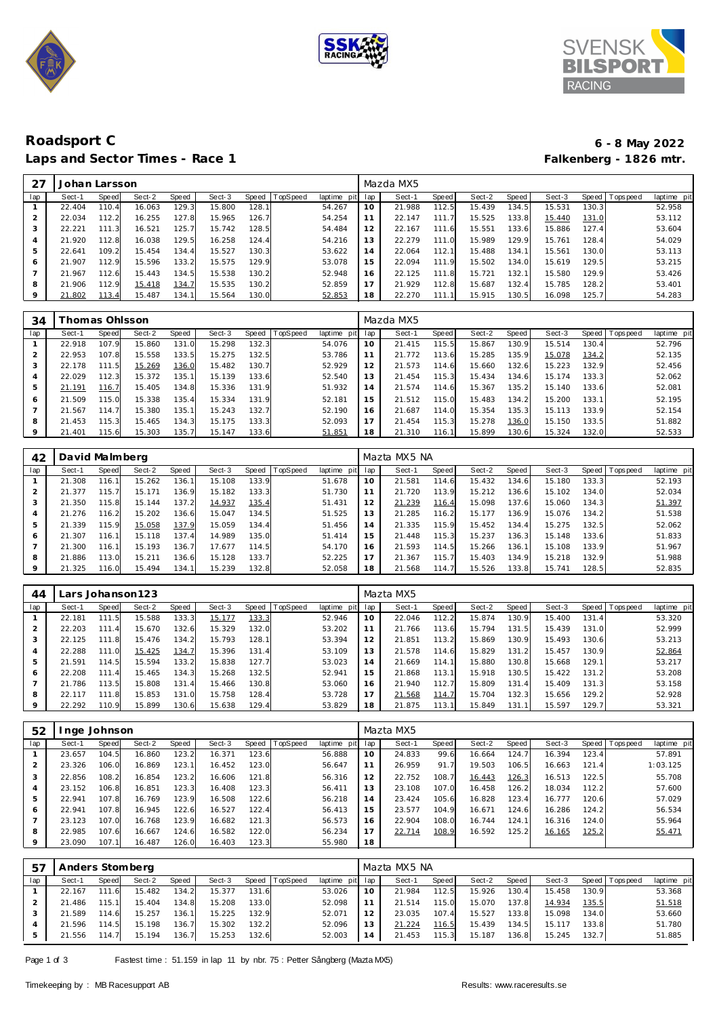





# **Roadsport C 6 - 8 May 2022** Laps and Sector Times - Race 1

|     | Johan Larsson |       |        |       |        |       |                 |                |     | Mazda MX5 |                       |        |       |        |       |                 |             |
|-----|---------------|-------|--------|-------|--------|-------|-----------------|----------------|-----|-----------|-----------------------|--------|-------|--------|-------|-----------------|-------------|
| lap | Sect-1        | Speed | Sect-2 | Speed | Sect-3 | Speed | <b>TopSpeed</b> | laptime<br>pit | lap | Sect-1    | Speed                 | Sect-2 | Speed | Sect-3 |       | Speed Tops peed | laptime pit |
|     | 22.404        | 110.4 | 16.063 | 129.3 | 15.800 | 128.1 |                 | 54.267         | 10  | 21.988    | 112.5                 | 15.439 | 134.5 | 15.531 | 130.3 |                 | 52.958      |
| 2   | 22.034        | 112.2 | 16.255 | 127.8 | 15.965 | 126.7 |                 | 54.254         |     | 22.147    | 111                   | 15.525 | 133.8 | 15.440 | 131.0 |                 | 53.112      |
| 3   | 22.221        | 111.3 | 16.521 | 125.7 | 15.742 | 128.5 |                 | 54.484         | 12  | 22.167    | 111<br>$\overline{6}$ | 15.551 | 133.6 | 15.886 | 127.4 |                 | 53.604      |
| 4   | 21.920        | 112.8 | 16.038 | 129.5 | 16.258 | 124.4 |                 | 54.216         | 13  | 22.279    | 111.0                 | 15.989 | 129.9 | 15.761 | 128.4 |                 | 54.029      |
| 5   | 22.641        | 109.2 | 15.454 | 134.4 | 15.527 | 130.3 |                 | 53.622         | 14  | 22.064    | 112.1                 | 15.488 | 134.1 | 15.561 | 130.0 |                 | 53.113      |
| 6   | 21.907        | 112.9 | 15.596 | 133.2 | 15.575 | 129.9 |                 | 53.078         | 15  | 22.094    | 111.9                 | 15.502 | 134.0 | 15.619 | 129.5 |                 | 53.215      |
|     | 21.967        | 112.6 | 15.443 | 134.5 | 15.538 | 130.2 |                 | 52.948         | 16  | 22.125    | 111.8                 | 15.721 | 132.1 | 15.580 | 129.9 |                 | 53.426      |
| 8   | 21.906        | 112.9 | 15.418 | 134.7 | 15.535 | 130.2 |                 | 52.859         |     | 21.929    | 112.8                 | 15.687 | 132.4 | 15.785 | 128.2 |                 | 53.401      |
| 9   | 21.802        | 113.4 | 15.487 | 134.1 | 15.564 | 130.0 |                 | 52.853         | 18  | 22.270    | 111                   | 15.915 | 130.5 | 16.098 | 125.7 |                 | 54.283      |

| 34  |        | homas Ohlsson |        |       |        |       |                 |                |     | Mazda MX5 |       |        |       |        |       |                |             |
|-----|--------|---------------|--------|-------|--------|-------|-----------------|----------------|-----|-----------|-------|--------|-------|--------|-------|----------------|-------------|
| lap | Sect-1 | Speed         | Sect-2 | Speed | Sect-3 | Speed | <b>TopSpeed</b> | laptime<br>pit | lap | Sect-1    | Speed | Sect-2 | Speed | Sect-3 |       | Speed Topspeed | laptime pit |
|     | 22.918 | 107.9         | 15.860 | 131.0 | 15.298 | 132.3 |                 | 54.076         | 10  | 21.415    | 115.5 | 15.867 | 130.9 | 15.514 | 130.4 |                | 52.796      |
|     | 22.953 | 107.8         | 15.558 | 133.5 | 15.275 | 132.5 |                 | 53.786         |     | 21.772    | 113.6 | 15.285 | 135.9 | 15.078 | 134.2 |                | 52.135      |
| 3   | 22.178 | 111.5         | 15.269 | 136.0 | 15.482 | 130.7 |                 | 52.929         | 12  | 21.573    | 114.6 | 15.660 | 132.6 | 15.223 | 132.9 |                | 52.456      |
| 4   | 22.029 | 112.3         | 15.372 | 135.1 | 15.139 | 133.6 |                 | 52.540         | . 3 | 21.454    | 115.3 | 15.434 | 134.6 | 15.174 | 133.3 |                | 52.062      |
| 5   | 21.191 | 116.7         | 15.405 | 134.8 | 15.336 | 131.9 |                 | 51.932         | 14  | 21.574    | 114.6 | 15.367 | 135.2 | 15.140 | 133.6 |                | 52.081      |
| 6   | 21.509 | 115.0         | 15.338 | 135.4 | 15.334 | 131.9 |                 | 52.181         | 15  | 21.512    | 115.0 | 15.483 | 134.2 | 15.200 | 133.1 |                | 52.195      |
|     | 21.567 | 114.7         | 15.380 | 135.1 | 15.243 | 132.7 |                 | 52.190         | 16  | 21.687    | 114.0 | 15.354 | 135.3 | 15.113 | 133.9 |                | 52.154      |
| 8   | 21.453 | 115.3         | 15.465 | 134.3 | 15.175 | 133.3 |                 | 52.093         | 17  | 21.454    | 115.3 | 15.278 | 136.0 | 15.150 | 133.5 |                | 51.882      |
| 9   | 21.401 | 115.6         | 15.303 | 135.7 | 15.147 | 133.6 |                 | 51.851         | 18  | 21.310    | 116.1 | 15.899 | 130.6 | 15.324 | 132.0 |                | 52.533      |

| 42  | David Malmberg |       |        |       |        |       |          |                 |    | Mazta MX5 NA |       |        |       |        |       |                 |             |
|-----|----------------|-------|--------|-------|--------|-------|----------|-----------------|----|--------------|-------|--------|-------|--------|-------|-----------------|-------------|
| lap | Sect-1         | Speed | Sect-2 | Speed | Sect-3 | Speed | TopSpeed | laptime pit lap |    | Sect-1       | Speed | Sect-2 | Speed | Sect-3 |       | Speed Tops peed | laptime pit |
|     | 21.308         | 116.1 | 15.262 | 136.1 | 15.108 | 133.9 |          | 51.678          | 10 | 21.581       | 114.6 | 15.432 | 134.6 | 15.180 | 133.3 |                 | 52.193      |
|     | 21.377         | 115.7 | 15.171 | 136.9 | 15.182 | 133.3 |          | 51.730          | 11 | 21.720       | 113.9 | 15.212 | 136.6 | 15.102 | 134.0 |                 | 52.034      |
| 3   | 21.350         | 115.8 | 15.144 | 137.2 | 14.937 | 135.4 |          | 51.431          | 12 | 21.239       | 116.4 | 15.098 | 137.6 | 15.060 | 134.3 |                 | 51.397      |
| 4   | 21.276         | 116.2 | 15.202 | 136.6 | 15.047 | 134.5 |          | 51.525          | 13 | 21.285       | 116.2 | 15.177 | 136.9 | 15.076 | 134.2 |                 | 51.538      |
| 5   | 21.339         | 115.9 | 15.058 | 137.9 | 15.059 | 134.4 |          | 51.456          | 14 | 21.335       | 115.9 | 15.452 | 134.4 | 15.275 | 132.5 |                 | 52.062      |
| 6   | 21.307         | 116.1 | 15.118 | 137.4 | 14.989 | 135.0 |          | 51.414          | 15 | 21.448       | 115.3 | 15.237 | 136.3 | 15.148 | 133.6 |                 | 51.833      |
|     | 21.300         | 116.1 | 15.193 | 136.7 | 17.677 | 114.5 |          | 54.170          | 16 | 21.593       | 114.5 | 15.266 | 136.1 | 15.108 | 133.9 |                 | 51.967      |
| 8   | 21.886         | 113.0 | 15.211 | 136.6 | 15.128 | 133.7 |          | 52.225          | 17 | 21.367       | 115.7 | 15.403 | 134.9 | 15.218 | 132.9 |                 | 51.988      |
| 9   | 21.325         | 116.0 | 15.494 | 134.1 | 15.239 | 132.8 |          | 52.058          | 18 | 21.568       | 114.7 | 15.526 | 133.8 | 15.741 | 128.5 |                 | 52.835      |

| 44  |        |            | Lars Johanson 123 |       |        |       |                 |                 |     | Mazta MX5 |       |        |       |        |                    |                 |             |
|-----|--------|------------|-------------------|-------|--------|-------|-----------------|-----------------|-----|-----------|-------|--------|-------|--------|--------------------|-----------------|-------------|
| lap | Sect-1 | Speed      | Sect-2            | Speed | Sect-3 | Speed | <b>TopSpeed</b> | laptime<br>pitl | lap | Sect-1    | Speed | Sect-2 | Speed | Sect-3 |                    | Speed Tops peed | laptime pit |
|     | 22.181 | 111<br>.51 | 15.588            | 133.3 | 15.177 | 133.3 |                 | 52.946          | 10  | 22.046    | 112.2 | 15.874 | 130.9 | 15.400 | 131.4              |                 | 53.320      |
|     | 22.203 | 111.4      | 15.670            | 132.6 | 15.329 | 132.0 |                 | 53.202          |     | 21.766    | 113.6 | 15.794 | 131.5 | 15.439 | 131.0              |                 | 52.999      |
|     | 22.125 | 111.8      | 15.476            | 134.2 | 15.793 | 128.1 |                 | 53.394          | 12  | 21.851    | 113.2 | 15.869 | 130.9 | 15.493 | 130.6              |                 | 53.213      |
| 4   | 22.288 | 111.0      | 15.425            | 134.7 | 15.396 | 131.4 |                 | 53.109          | 13  | 21.578    | 114.6 | 15.829 | 131.2 | 15.457 | 130.9              |                 | 52.864      |
| 5   | 21.591 | 114.5      | 15.594            | 133.2 | 15.838 | 127.7 |                 | 53.023          | 14  | 21.669    | 114.1 | 15.880 | 130.8 | 15.668 | 129.1              |                 | 53.217      |
| 6   | 22.208 | 111.4      | 15.465            | 134.3 | 15.268 | 132.5 |                 | 52.941          | 15  | 21.868    | 113.1 | 15.918 | 130.5 | 15.422 | 131.2              |                 | 53.208      |
|     | 21.786 | 113.5      | 15.808            | 131.4 | 15.466 | 130.8 |                 | 53.060          | 16  | 21.940    | 112.7 | 15.809 | 131.4 | 15.409 | 131.3              |                 | 53.158      |
| 8   | 22.117 | 111.8      | 15.853            | 131.0 | 15.758 | 128.4 |                 | 53.728          |     | 21.568    | 114.7 | 15.704 | 132.3 | 15.656 | 129.2              |                 | 52.928      |
| 9   | 22.292 | 110.9      | 15.899            | 130.6 | 15.638 | 129.4 |                 | 53.829          | 18  | 21.875    | 113.1 | 15.849 | 131.1 | 15.597 | 129.7 <sub>1</sub> |                 | 53.321      |

| 52  |        | nge Johnson |        |       |        |       |                 |                |     | Mazta MX5 |       |        |       |        |       |                                |
|-----|--------|-------------|--------|-------|--------|-------|-----------------|----------------|-----|-----------|-------|--------|-------|--------|-------|--------------------------------|
| lap | Sect-1 | Speed       | Sect-2 | Speed | Sect-3 | Speed | <b>TopSpeed</b> | laptime<br>pit | lap | Sect-1    | Speed | Sect-2 | Speed | Sect-3 |       | Speed Tops peed<br>laptime pit |
|     | 23.657 | 104.5       | 16.860 | 123.2 | 16.371 | 123.6 |                 | 56.888         | 10  | 24.833    | 99.6  | 16.664 | 124.7 | 16.394 | 123.4 | 57.891                         |
|     | 23.326 | 106.0       | 16.869 | 123.1 | 16.452 | 123.0 |                 | 56.647         | 11  | 26.959    | 91.7  | 19.503 | 106.5 | 16.663 | 121.4 | 1:03.125                       |
|     | 22.856 | 108.2       | 16.854 | 123.2 | 16.606 | 121.8 |                 | 56.316         | 12  | 22.752    | 108.7 | 16.443 | 126.3 | 16.513 | 122.5 | 55.708                         |
|     | 23.152 | 106.8       | 16.851 | 123.3 | 16.408 | 123.3 |                 | 56.411         | 13  | 23.108    | 107.0 | 16.458 | 126.2 | 18.034 | 112.2 | 57.600                         |
|     | 22.941 | 107.8       | 16.769 | 123.9 | 16.508 | 122.6 |                 | 56.218         | 14  | 23.424    | 105.6 | 16.828 | 123.4 | 16.777 | 120.6 | 57.029                         |
| 6   | 22.941 | 107.8       | 16.945 | 122.6 | 16.527 | 122.4 |                 | 56.413         | 15  | 23.577    | 104.9 | 16.671 | 124.6 | 16.286 | 124.2 | 56.534                         |
|     | 23.123 | 107.0       | 16.768 | 123.9 | 16.682 | 121.3 |                 | 56.573         | 16  | 22.904    | 108.0 | 16.744 | 124.1 | 16.316 | 124.0 | 55.964                         |
| 8   | 22.985 | 107.6       | 16.667 | 124.6 | 16.582 | 122.0 |                 | 56.234         | 17  | 22.714    | 108.9 | 16.592 | 125.2 | 16.165 | 125.2 | 55.471                         |
|     | 23.090 | 107.1       | 16.487 | 126.0 | 16.403 | 123.3 |                 | 55.980         | 18  |           |       |        |       |        |       |                                |

| -57 | Anders Stomberg |       |        |       |        |       |                |                 |    | Mazta MX5 NA |       |        |       |        |       |                 |             |
|-----|-----------------|-------|--------|-------|--------|-------|----------------|-----------------|----|--------------|-------|--------|-------|--------|-------|-----------------|-------------|
| lap | Sect-1          | Speed | Sect-2 | Speed | Sect-3 |       | Speed TopSpeed | laptime pit lap |    | Sect-1       | Speed | Sect-2 | Speed | Sect-3 |       | Speed Tops peed | laptime pit |
|     | 22.167          | 111.6 | 15.482 | 134.2 | 15.377 | 131.6 |                | 53.026          | 10 | 21.984       | 112.5 | 15.926 | 130.4 | 15.458 | 130.9 |                 | 53.368      |
|     | 21.486          | 115.1 | 15.404 | 134.8 | 15.208 | 133.0 |                | 52.098          |    | 21.514       | 115.0 | 15.070 | 137.8 | 14.934 | 135.5 |                 | 51.518      |
|     | 21.589          | 114.6 | 15.257 | 136.7 | 15.225 | 132.9 |                | 52.071          | 12 | 23.035       | 107.4 | 15.527 | 133.8 | 15.098 | 134.0 |                 | 53.660      |
|     | 21.596          | 114.5 | 15.198 | 136.7 | 15.302 | 132.2 |                | 52.096          | 13 | 21.224       | 116.5 | 15.439 | 134.5 | 15.117 | 133.8 |                 | 51.780      |
|     | 21.556          | 114.7 | 15.194 | 136.7 | 15.253 | 132.6 |                | 52.003          | 14 | 21.453       | 115.3 | 15.187 | 136.8 | 15.245 | 132.7 |                 | 51.885      |

Page 1 of 3 Fastest time : 51.159 in lap 11 by nbr. 75 : Petter Sångberg (Mazta MX5)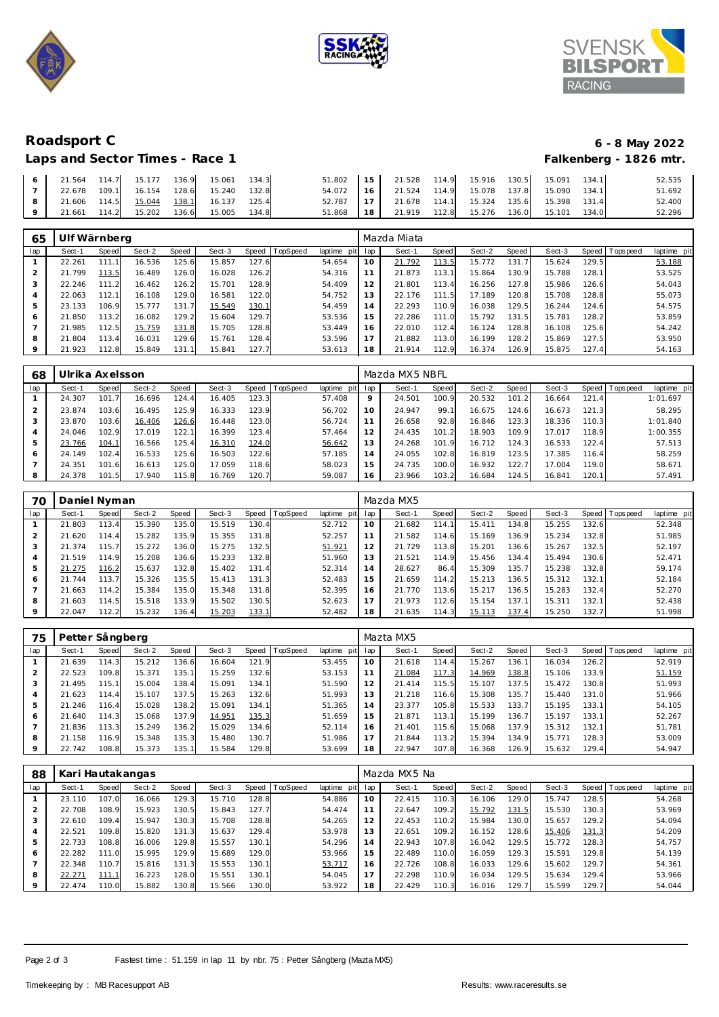





**Roadsport C 6 - 8 May 2022** Laps and Sector Times - Race 1

| 21.564 | 114.7 | 15.177 | 136.9 | 15.061 | 134.3 | 51.802 | 15 | 21.528 | 114.9 | 15.916 | 130.5 | 15.091 | 134.1 | 52.535 |
|--------|-------|--------|-------|--------|-------|--------|----|--------|-------|--------|-------|--------|-------|--------|
| 22.678 | 109.1 | 16.154 | 128.6 | 15.240 | 132.8 | 54.072 | 16 | 21.524 | 114.9 | 15.078 | 137.8 | 15.090 | 134.1 | 51.692 |
| 21.606 | 114.5 | 15.044 | 138.1 | 16.137 | 125.4 | 52.787 | 17 | 21.678 | 114.1 | 15.324 | 135.6 | 15.398 | 131.4 | 52.400 |
| 21.661 | 114.2 | 15.202 | 136.6 | 15.005 | 134.8 | 51.868 | 18 | 21.919 | 112.8 | 15.276 | 136.0 | 15.101 | 134.0 | 52.296 |

| 65  | Ulf Wärnberg |       |        |       |        |       |          |             |     | Mazda Miata |              |        |       |        |       |            |             |
|-----|--------------|-------|--------|-------|--------|-------|----------|-------------|-----|-------------|--------------|--------|-------|--------|-------|------------|-------------|
| lap | Sect-1       | Speed | Sect-2 | Speed | Sect-3 | Speed | TopSpeed | laptime pit | lap | Sect-1      | <b>Speed</b> | Sect-2 | Speed | Sect-3 | Speed | J Topspeed | laptime pit |
|     | 22.261       | 111   | 16.536 | 125.6 | 15.857 | 127.6 |          | 54.654      | 10  | 21.792      | 113.5        | 15.772 | 131.  | 15.624 | 129.5 |            | 53.188      |
| 2   | 21.799       | 113.5 | 16.489 | 126.0 | 16.028 | 126.2 |          | 54.316      | 11  | 21.873      | 113.1        | 15.864 | 130.9 | 15.788 | 128.1 |            | 53.525      |
| 3   | 22.246       | 111.2 | 16.462 | 126.2 | 15.701 | 128.9 |          | 54.409      | 12  | 21.801      | 113.4        | 16.256 | 127.8 | 15.986 | 126.6 |            | 54.043      |
| 4   | 22.063       | 112.1 | 16.108 | 129.0 | 16.581 | 122.0 |          | 54.752      | 13  | 22.176      | 111.5        | 17.189 | 120.8 | 15.708 | 128.8 |            | 55.073      |
| 5   | 23.133       | 106.9 | 15.777 | 131.7 | 15.549 | 130.1 |          | 54.459      | 14  | 22.293      | 110.9        | 16.038 | 129.5 | 16.244 | 124.6 |            | 54.575      |
| 6   | 21.850       | 113.2 | 16.082 | 129.2 | 15.604 | 129.7 |          | 53.536      | 15  | 22.286      | 111.0        | 15.792 | 131.5 | 15.781 | 128.2 |            | 53.859      |
|     | 21.985       | 112.5 | 15.759 | 131.8 | 15.705 | 128.8 |          | 53.449      | 16  | 22.010      | 112.4        | 16.124 | 128.8 | 16.108 | 125.6 |            | 54.242      |
| 8   | 21.804       | 113.4 | 16.031 | 129.6 | 15.761 | 128.4 |          | 53.596      | 17  | 21.882      | 113.0        | 16.199 | 128.2 | 15.869 | 127.5 |            | 53.950      |
| 9   | 21.923       | 112.8 | 15.849 | 131.1 | 15.841 | 127.7 |          | 53.613      | 18  | 21.914      | 112.9        | 16.374 | 126.9 | 15.875 | 127.4 |            | 54.163      |

| 68  | Ulrika Axelsson. |              |        |       |        |       |          |                 |         | Mazda MX5 NBFL |       |        |       |        |       |                   |             |
|-----|------------------|--------------|--------|-------|--------|-------|----------|-----------------|---------|----------------|-------|--------|-------|--------|-------|-------------------|-------------|
| lap | Sect-1           | <b>Speed</b> | Sect-2 | Speed | Sect-3 | Speed | TopSpeed | laptime pit lap |         | Sect-1         | Speed | Sect-2 | Speed | Sect-3 |       | Speed   Tops peed | laptime pit |
|     | 24.307           | 101          | 16.696 | 124.4 | 16.405 | 123.3 |          | 57.408          | $\circ$ | 24.501         | 100.9 | 20.532 | 101.2 | 16.664 | 121.4 |                   | 1:01.697    |
|     | 23.874           | 103.6        | 16.495 | 125.9 | 16.333 | 123.9 |          | 56.702          | 10      | 24.947         | 99.1  | 16.675 | 124.6 | 16.673 | 121.3 |                   | 58.295      |
|     | 23.870           | 103.6        | 16.406 | 126.6 | 16.448 | 123.0 |          | 56.724          | 11      | 26.658         | 92.8  | 16.846 | 123.3 | 18.336 | 110.3 |                   | 1:01.840    |
|     | 24.046           | 102.9        | 17.019 | 122.7 | 16.399 | 123.4 |          | 57.464          | 12      | 24.435         | 101.2 | 18.903 | 109.9 | 17.017 | 118.9 |                   | 1:00.355    |
|     | 23.766           | 104.7        | 16.566 | 125.4 | 16.310 | 124.0 |          | 56.642          | 13      | 24.268         | 101.9 | 16.712 | 124.3 | 16.533 | 122.4 |                   | 57.513      |
| 6   | 24.149           | 102.4        | 16.533 | 125.6 | 16.503 | 122.6 |          | 57.185          | 14      | 24.055         | 102.8 | 16.819 | 123.5 | 17.385 | 116.4 |                   | 58.259      |
|     | 24.351           | 101.6        | 16.613 | 125.0 | 17.059 | 118.6 |          | 58.023          | 15      | 24.735         | 100.0 | 16.932 | 122.7 | 17.004 | 119.0 |                   | 58.671      |
|     | 24.378           | 101.5        | 17.940 | 115.8 | 16.769 | 120.7 |          | 59.087          | 16      | 23.966         | 103.2 | 16.684 | 124.5 | 16.841 | 120.1 |                   | 57.491      |

| 70  | Daniel Nyman |       |        |       |        |               |                 |                |     | Mazda MX5 |       |        |       |        |       |                |             |
|-----|--------------|-------|--------|-------|--------|---------------|-----------------|----------------|-----|-----------|-------|--------|-------|--------|-------|----------------|-------------|
| lap | Sect-1       | Speed | Sect-2 | Speed | Sect-3 | Speed         | <b>TopSpeed</b> | laptime<br>pit | lap | Sect-1    | Speed | Sect-2 | Speed | Sect-3 |       | Speed Topspeed | laptime pit |
|     | 21.803       | 113.4 | 15.390 | 135.0 | 15.519 | 130.4         |                 | 52.712         | 10  | 21.682    | 114.1 | 15.411 | 134.8 | 15.255 | 132.6 |                | 52.348      |
|     | 21.620       | 114.4 | 15.282 | 135.9 | 15.355 | 131.8         |                 | 52.257         |     | 21.582    | 114.6 | 15.169 | 136.9 | 15.234 | 132.8 |                | 51.985      |
|     | 21.374       | 115.7 | 15.272 | 136.0 | 15.275 | 132.5         |                 | 51.921         | 12  | 21.729    | 113.8 | 15.201 | 136.6 | 15.267 | 132.5 |                | 52.197      |
|     | 21.519       | 114.9 | 15.208 | 136.6 | 15.233 | 132.8         |                 | 51.960         | 13  | 21.521    | 114.9 | 15.456 | 134.4 | 15.494 | 130.6 |                | 52.471      |
| 5   | 21.275       | 116.2 | 15.637 | 132.8 | 15.402 | 131.4         |                 | 52.314         | 14  | 28.627    | 86.4  | 15.309 | 135.7 | 15.238 | 132.8 |                | 59.174      |
| 6   | 21.744       | 113.7 | 15.326 | 135.5 | 15.413 | 131.3         |                 | 52.483         | 15  | 21.659    | 114.2 | 15.213 | 136.5 | 15.312 | 132.1 |                | 52.184      |
|     | 21.663       | 114.2 | 15.384 | 135.0 | 15.348 | 131.8         |                 | 52.395         | 16  | 21.770    | 113.6 | 15.217 | 136.5 | 15.283 | 132.4 |                | 52.270      |
| 8   | 21.603       | 114.5 | 15.518 | 133.9 | 15.502 | 130.5         |                 | 52.623         | 17  | 21.973    | 112.6 | 15.154 | 137.1 | 15.311 | 132.1 |                | 52.438      |
| 9   | 22.047       | 112.2 | 15.232 | 136.4 | 15.203 | <u> 133.1</u> |                 | 52.482         | 18  | 21.635    | 114.3 | 15.113 | 137.4 | 15.250 | 132.7 |                | 51.998      |

| 75  | Petter Sångberg |       |        |       |        |       |                 |                |     | Mazta MX5 |       |        |         |        |       |                |                |
|-----|-----------------|-------|--------|-------|--------|-------|-----------------|----------------|-----|-----------|-------|--------|---------|--------|-------|----------------|----------------|
| lap | Sect-1          | Speed | Sect-2 | Speed | Sect-3 | Speed | <b>TopSpeed</b> | laptime<br>pit | lap | Sect-1    | Speed | Sect-2 | Speed ' | Sect-3 |       | Speed Topspeed | pit<br>laptime |
|     | 21.639          | 114.3 | 15.212 | 136.6 | 16.604 | 121.9 |                 | 53.455         | 10  | 21.618    | 114.4 | 15.267 | 136.1   | 16.034 | 126.2 |                | 52.919         |
|     | 22.523          | 109.8 | 15.371 | 135.1 | 15.259 | 132.6 |                 | 53.153         | 11  | 21.084    | 117.3 | 14.969 | 138.8   | 15.106 | 133.9 |                | 51.159         |
|     | 21.495          | 115.1 | 15.004 | 138.4 | 15.091 | 134.1 |                 | 51.590         | 12  | 21.414    | 115.5 | 15.107 | 137.5   | 15.472 | 130.8 |                | 51.993         |
|     | 21.623          | 114.4 | 15.107 | 137.5 | 15.263 | 132.6 |                 | 51.993         | 13  | 21.218    | 116.6 | 15.308 | 135.7   | 15.440 | 131.0 |                | 51.966         |
|     | 21.246          | 116.4 | 15.028 | 138.2 | 15.091 | 134.1 |                 | 51.365         | 14  | 23.377    | 105.8 | 15.533 | 133.7   | 15.195 | 133.1 |                | 54.105         |
| 6   | 21.640          | 114.3 | 15.068 | 137.9 | 14.951 | 135.3 |                 | 51.659         | 15  | 21.871    | 113.1 | 15.199 | 136.7   | 15.197 | 133.1 |                | 52.267         |
|     | 21.836          | 113.3 | 15.249 | 136.2 | 15.029 | 134.6 |                 | 52.114         | 16  | 21.401    | 115.6 | 15.068 | 137.9   | 15.312 | 132.1 |                | 51.781         |
| 8   | 21.158          | 116.9 | 15.348 | 135.3 | 15.480 | 130.7 |                 | 51.986         |     | 21.844    | 113.2 | 15.394 | 134.9   | 15.771 | 128.3 |                | 53.009         |
|     | 22.742          | 108.8 | 15.373 | 135.1 | 15.584 | 129.8 |                 | 53.699         | 18  | 22.947    | 107.8 | 16.368 | 126.9   | 15.632 | 129.4 |                | 54.947         |

| 88  | Kari   |       | Hautakangas |       |        |       |          |                |     | Mazda MX5 Na |       |        |       |        |       |                  |             |
|-----|--------|-------|-------------|-------|--------|-------|----------|----------------|-----|--------------|-------|--------|-------|--------|-------|------------------|-------------|
| lap | Sect-1 | Speed | Sect-2      | Speed | Sect-3 | Speed | TopSpeed | laptime<br>pit | lap | Sect-1       | Speed | Sect-2 | Speed | Sect-3 | Speed | <b>Tops peed</b> | laptime pit |
|     | 23.110 | 107.0 | 16.066      | 129.3 | 15.710 | 128.8 |          | 54.886         | 10  | 22.415       | 110.3 | 16.106 | 129.0 | 15.747 | 128.5 |                  | 54.268      |
|     | 22.708 | 108.9 | 15.923      | 130.5 | 15.843 | 127.7 |          | 54.474         | 11  | 22.647       | 109.2 | 15.792 | 131.5 | 15.530 | 130.3 |                  | 53.969      |
| 3   | 22.610 | 109.4 | 15.947      | 130.3 | 15.708 | 128.8 |          | 54.265         | 12  | 22.453       | 10.2  | 15.984 | 130.0 | 15.657 | 129.2 |                  | 54.094      |
| 4   | 22.521 | 109.8 | 15.820      | 131.3 | 15.637 | 129.4 |          | 53.978         | 13  | 22.651       | 109.2 | 16.152 | 128.6 | 15.406 | 131.3 |                  | 54.209      |
| 5   | 22.733 | 108.8 | 16.006      | 129.8 | 15.557 | 130.1 |          | 54.296         | 14  | 22.943       | 107.8 | 16.042 | 129.5 | 15.772 | 128.3 |                  | 54.757      |
| 6   | 22.282 | 111.0 | 15.995      | 129.9 | 15.689 | 129.C |          | 53.966         | 15  | 22.489       | 10.0  | 16.059 | 129.3 | 15.591 | 129.8 |                  | 54.139      |
|     | 22.348 | 110.7 | 15.816      | 131.3 | 15.553 | 130.1 |          | 53.717         | 16  | 22.726       | 108.8 | 16.033 | 129.6 | 15.602 | 129.7 |                  | 54.361      |
| 8   | 22.271 | 111.  | 16.223      | 128.0 | 15.551 | 130.  |          | 54.045         | 17  | 22.298       | 110.9 | 16.034 | 129.5 | 15.634 | 129.4 |                  | 53.966      |
| 9   | 22.474 | 110.0 | 15.882      | 130.8 | 15.566 | 130.C |          | 53.922         | 18  | 22.429       | 10.3  | 16.016 | 129.7 | 15.599 | 129.7 |                  | 54.044      |